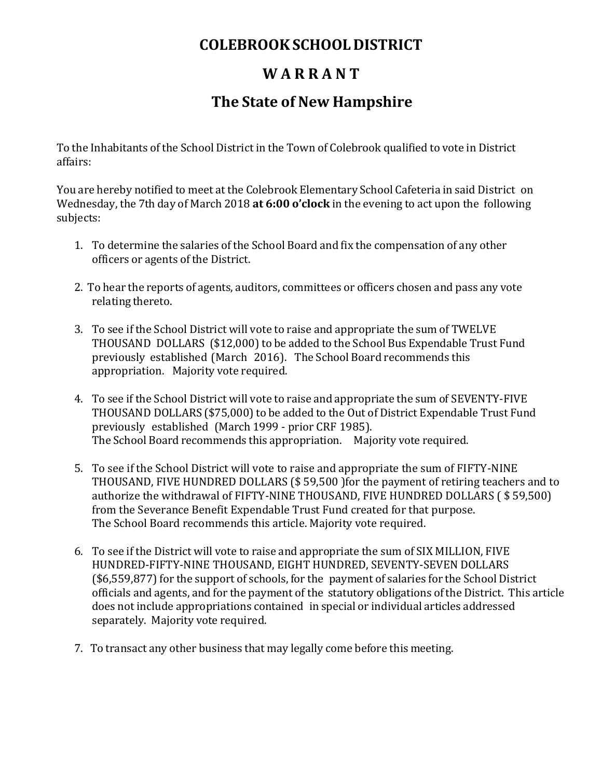## **COLEBROOKSCHOOLDISTRICT**

### **W A R R A N T**

### **The State of New Hampshire**

To the Inhabitants of the School District in the Town of Colebrook qualified to vote in District affairs:

You are hereby notified to meet at the Colebrook Elementary School Cafeteria in said District on Wednesday, the 7th day of March 2018 **at 6:00 o'clock** in the evening to act upon the following subjects:

- 1. To determine the salaries of the School Board and fix the compensation of any other officers or agents of the District.
- 2. To hear the reports of agents, auditors, committees or officers chosen and pass any vote relating thereto.
- 3. To see if the School District will vote to raise and appropriate the sum of TWELVE THOUSAND DOLLARS (\$12,000) to be added to the School Bus Expendable Trust Fund previously established (March 2016). The School Board recommends this appropriation. Majority vote required.
- 4. To see if the School District will vote to raise and appropriate the sum of SEVENTY-FIVE THOUSAND DOLLARS (\$75,000) to be added to the Out of District Expendable Trust Fund previously established (March 1999 - prior CRF 1985). The School Board recommends this appropriation. Majority vote required.
- 5. To see if the School District will vote to raise and appropriate the sum of FIFTY-NINE THOUSAND, FIVE HUNDRED DOLLARS (\$ 59,500 )for the payment of retiring teachers and to authorize the withdrawal of FIFTY-NINE THOUSAND, FIVE HUNDRED DOLLARS ( \$ 59,500) from the Severance Benefit Expendable Trust Fund created for that purpose. The School Board recommends this article. Majority vote required.
- 6. To see if the District will vote to raise and appropriate the sum of SIX MILLION, FIVE HUNDRED-FIFTY-NINE THOUSAND, EIGHT HUNDRED, SEVENTY-SEVEN DOLLARS  $($6,559,877)$  for the support of schools, for the payment of salaries for the School District officials and agents, and for the payment of the statutory obligations of the District. This article does not include appropriations contained in special or individual articles addressed separately. Majority vote required.
- 7. To transact any other business that may legally come before this meeting.